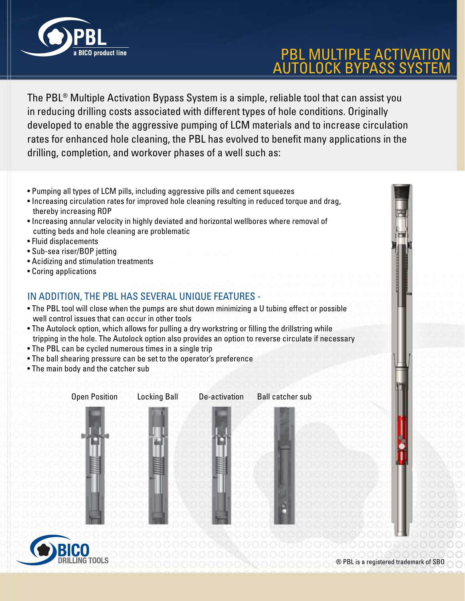

## PBL MULTIPLE ACTIVATION AUTOLOCK BYPASS SYSTEM

The PBL® Multiple Activation Bypass System is a simple, reliable tool that can assist you in reducing drilling costs associated with different types of hole conditions. Originally developed to enable the aggressive pumping of LCM materials and to increase circulation rates for enhanced hole cleaning, the PBL has evolved to benefit many applications in the drilling, completion, and workover phases of a well such as:

- Pumping all types of LCM pills, including aggressive pills and cement squeezes
- Increasing circulation rates for improved hole cleaning resulting in reduced torque and drag, thereby increasing ROP
- Increasing annular velocity in highly deviated and horizontal wellbores where removal of cutting beds and hole cleaning are problematic
- Fluid displacements
- Sub-sea riser/BOP jetting
- Acidizing and stimulation treatments
- Coring applications

## In addition, the PBL has several unique features -

- The PBL tool will close when the pumps are shut down minimizing a U tubing effect or possible well control issues that can occur in other tools
- The Autolock option, which allows for pulling a dry workstring or filling the drillstring while tripping in the hole. The Autolock option also provides an option to reverse circulate if necessary
- The PBL can be cycled numerous times in a single trip
- The ball shearing pressure can be set to the operator's preference
- The main body and the catcher sub







® PBL is a registered trademark of SBO